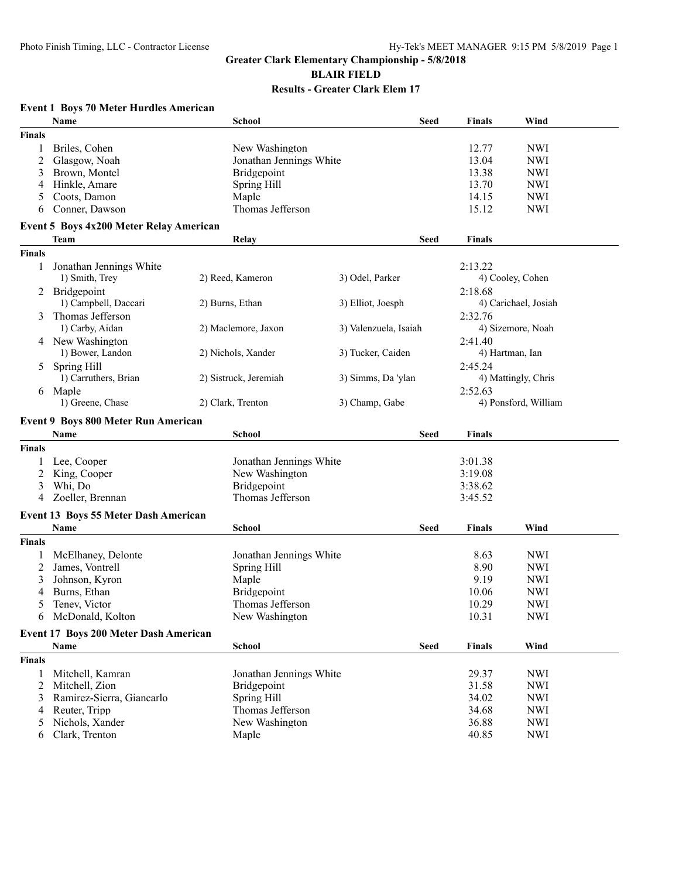**Event 1 Boys 70 Meter Hurdles American**

## **Greater Clark Elementary Championship - 5/8/2018 BLAIR FIELD Results - Greater Clark Elem 17**

## **Name School Seed Finals Wind Finals** 1 Briles, Cohen New Washington 12.77 NWI 2 Glasgow, Noah Jonathan Jennings White 13.04 NWI 3 Brown, Montel Bridgepoint 13.38 NWI 4 Hinkle, Amare Spring Hill 13.70 NWI 5 Coots, Damon Maple 14.15 NWI 6 Conner, Dawson Thomas Jefferson 15.12 NWI **Event 5 Boys 4x200 Meter Relay American Team Relay Seed Finals Finals** 1 Jonathan Jennings White 2:13.22 1) Smith, Trey 2) Reed, Kameron 3) Odel, Parker 4) Cooley, Cohen 2 Bridgepoint 2:18.68<br>
2 Deurns, Ethan 2 Deurns, Ethan 2 Deurns, Ethan 2 Deurns, 2 Burns, Ethan 2 Deurns, 2 Blliot, Joesph 2:18.68 1) Campbell, Daccari 2) Burns, Ethan 3) Elliot, Joesph 4) Carichael, Josiah 3 Thomas Jefferson 2:32.76<br>
1) Carby, Aidan 2) Maclemore, Jaxon 3) Valenzuela, Isaiah 4) Sizemore, Noah 2) Maclemore, Jaxon 4 New Washington 2:41.40<br>
1) Bower, Landon 2) Nichols, Xander 3) Tucker, Caiden 4) Hartman, Ian 2) Nichols, Xander 3) Tucker, Caiden 5 Spring Hill 2:45.24<br>
1) Carruthers, Brian 2) Sistruck, Jeremiah 3) Simms, Da 'vlan 4) Mattingly, Chris 2) Sistruck, Jeremiah 6 Maple 2:52.63 1) Greene, Chase 2) Clark, Trenton 3) Champ, Gabe 4) Ponsford, William **Event 9 Boys 800 Meter Run American Name School Seed Finals Finals** 1 Lee, Cooper Jonathan Jennings White 3:01.38 2 King, Cooper New Washington 3:19.08 3 Whi, Do Bridgepoint 3:38.62 4 Zoeller, Brennan Thomas Jefferson 3:45.52 **Event 13 Boys 55 Meter Dash American Name School Seed Finals Wind Finals** 1 McElhaney, Delonte Jonathan Jennings White 8.63 NWI 2 James, Vontrell Spring Hill Spring Hill 8.90 NWI 3 Johnson, Kyron Maple 9.19 NWI 4 Burns, Ethan **Bridgepoint** Bridgepoint 10.06 NWI 5 Tenev, Victor Thomas Jefferson 10.29 NWI 6 McDonald, Kolton New Washington 10.31 NWI **Event 17 Boys 200 Meter Dash American Name School Seed Finals Wind Finals** 1 Mitchell, Kamran Jonathan Jennings White 29.37 NWI 2 Mitchell, Zion Bridgepoint 31.58 NWI 3 Ramirez-Sierra, Giancarlo Spring Hill 34.02 NWI 4 Reuter, Tripp Thomas Jefferson 34.68 NWI 5 Nichols, Xander New Washington 36.88 NWI

6 Clark, Trenton Maple 40.85 NWI